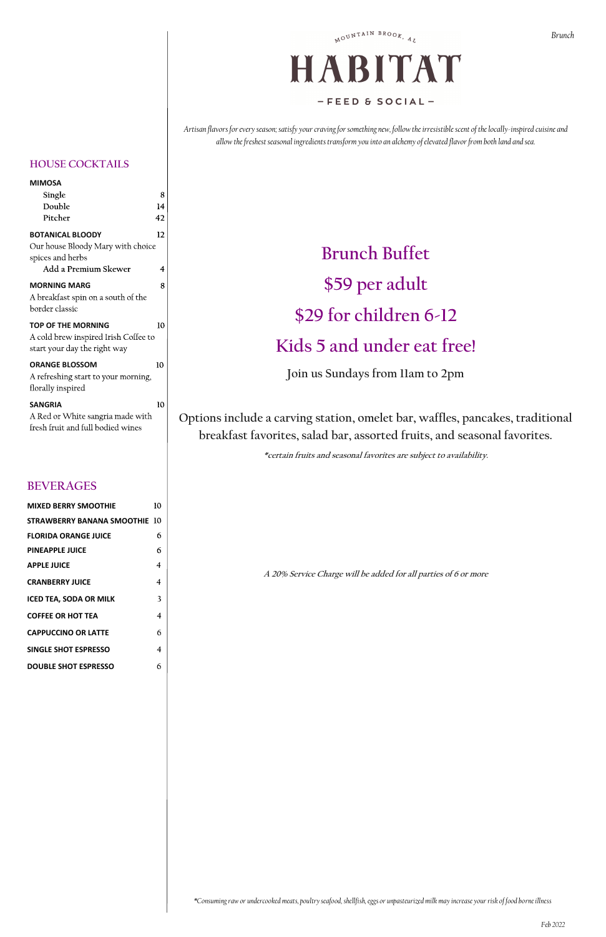# HABITAT  $-$ FEED & SOCIAL-

*Artisan flavors for every season; satisfy your craving for something new, follow the irresistible scent of the locally-inspired cuisine and allow the freshest seasonal ingredients transform you into an alchemy of elevated flavor from both land and sea.*

# **Brunch Buffet \$59 per adult \$29 for children 6-12 Kids 5 and under eat free!**

**Join us Sundays from 11am to 2pm**

**Options include a carving station, omelet bar, waffles, pancakes, traditional breakfast favorites, salad bar, assorted fruits, and seasonal favorites.**

**\*certain fruits and seasonal favorites are subject to availability.**

**A 20% Service Charge will be added for all parties of 6 or more**

*\*Consuming raw or undercooked meats, poultry seafood, shellfish, eggs or unpasteurized milk may increase your risk of food borneillness*

#### **HOUSE COCKTAILS**

| 8  |
|----|
| 14 |
| 42 |
| 12 |
| 4  |
| 8  |
|    |
| 10 |
| 10 |
| 10 |
|    |

#### **BEVERAGES**

| <b>MIXED BERRY SMOOTHIE</b>      | 10 |
|----------------------------------|----|
| STRAWBERRY BANANA SMOOTHIE $~10$ |    |
| <b>FLORIDA ORANGE JUICE</b>      | 6  |
| <b>PINEAPPLE JUICE</b>           | 6  |
| APPLE JUICE                      | 4  |
| <b>CRANBERRY JUICE</b>           | 4  |
| <b>ICED TEA, SODA OR MILK</b>    | 3  |
| <b>COFFEE OR HOT TEA</b>         | 4  |
| <b>CAPPUCCINO OR LATTE</b>       | 6  |
| SINGLE SHOT ESPRESSO             | 4  |
| <b>DOUBLE SHOT ESPRESSO</b>      | 6  |